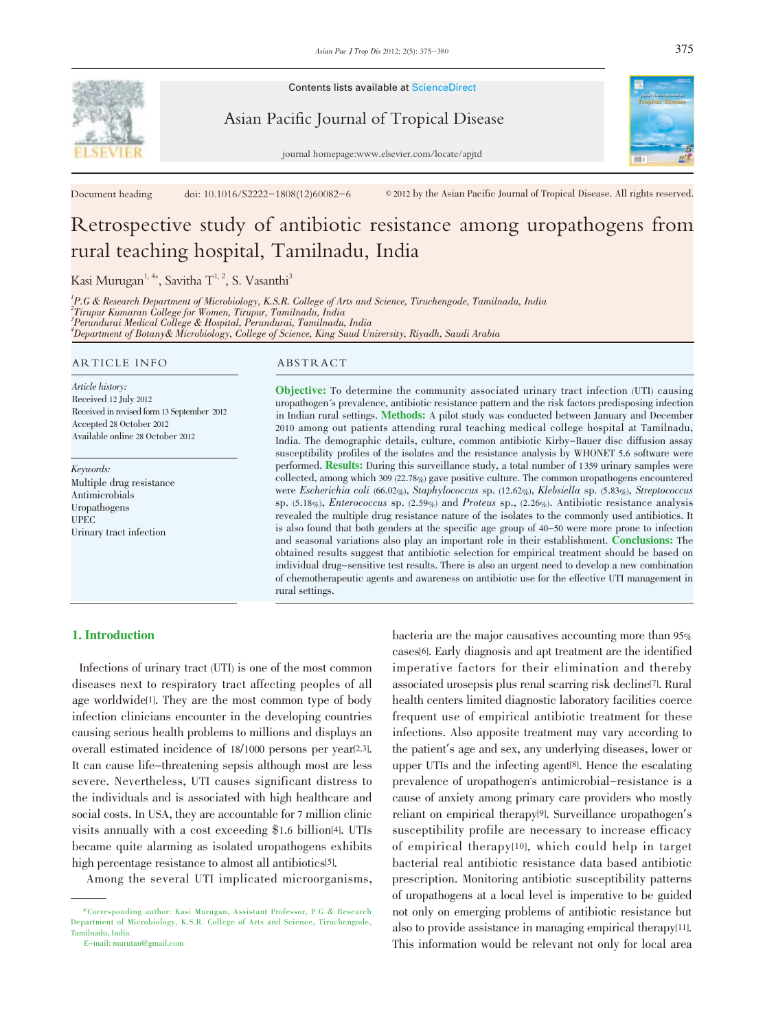

Contents lists available at ScienceDirect

Asian Pacific Journal of Tropical Disease

journal homepage:www.elsevier.com/locate/apjtd

Document heading doi:  $10.1016/S2222-1808(12)60082-6$  © 2012 by the Asian Pacific Journal of Tropical Disease. All rights reserved.

# Retrospective study of antibiotic resistance among uropathogens from rural teaching hospital, Tamilnadu, India

Kasi Murugan $^{1,4*}$ , Savitha  $\text{T}^{1,\,2}$ , S. Vasanthi $^3$ 

<sup>1</sup>P.G & Research Department of Microbiology, K.S.R. College of Arts and Science, Tiruchengode, Tamilnadu, India 2 Tirupur Kumaran College for Women, Tirupur, Tamilnadu, India 3 Perundurai Medical College & Hospital, Perundurai, Tamilnadu, India 4 Department of Botany& Microbiology, College of Science, King Saud University, Riyadh, Saudi Arabia

#### ARTICLE INFO ABSTRACT

Article history: Received 12 July 2012 Received in revised form 13 September 2012 Accepted 28 October 2012 Available online 28 October 2012

Keywords: Multiple drug resistance Antimicrobials Uropathogens UPEC Urinary tract infection

Objective: To determine the community associated urinary tract infection (UTI) causing uropathogen's prevalence, antibiotic resistance pattern and the risk factors predisposing infection in Indian rural settings. Methods: A pilot study was conducted between January and December 2010 among out patients attending rural teaching medical college hospital at Tamilnadu, India. The demographic details, culture, common antibiotic Kirby-Bauer disc diffusion assay susceptibility profiles of the isolates and the resistance analysis by WHONET 5.6 software were performed. Results: During this surveillance study, a total number of <sup>1</sup> <sup>359</sup> urinary samples were collected, among which 309 (22.78%) gave positive culture. The common uropathogens encountered were Escherichia coli (66.02%), Staphylococcus sp. (12.62%), Klebsiella sp. (5.83%), Streptococcus sp. (5.18%), Enterococcus sp. (2.59%) and Proteus sp., (2.26%). Antibiotic resistance analysis revealed the multiple drug resistance nature of the isolates to the commonly used antibiotics. It is also found that both genders at the specific age group of 40-50 were more prone to infection and seasonal variations also play an important role in their establishment. Conclusions: The obtained results suggest that antibiotic selection for empirical treatment should be based on individual drug-sensitive test results. There is also an urgent need to develop a new combination of chemotherapeutic agents and awareness on antibiotic use for the effective UTI management in rural settings.

# 1. Introduction

Infections of urinary tract (UTI) is one of the most common diseases next to respiratory tract affecting peoples of all age worldwide[1]. They are the most common type of body infection clinicians encounter in the developing countries causing serious health problems to millions and displays an overall estimated incidence of 18/1000 persons per year[2,3]. It can cause life-threatening sepsis although most are less severe. Nevertheless, UTI causes significant distress to the individuals and is associated with high healthcare and social costs. In USA, they are accountable for 7 million clinic visits annually with a cost exceeding \$1.6 billion[4]. UTIs became quite alarming as isolated uropathogens exhibits high percentage resistance to almost all antibiotics[5].

Among the several UTI implicated microorganisms,

bacteria are the major causatives accounting more than 95% cases[6]. Early diagnosis and apt treatment are the identified imperative factors for their elimination and thereby associated urosepsis plus renal scarring risk decline[7]. Rural health centers limited diagnostic laboratory facilities coerce frequent use of empirical antibiotic treatment for these infections. Also apposite treatment may vary according to the patient's age and sex, any underlying diseases, lower or upper UTIs and the infecting agent[8]. Hence the escalating prevalence of uropathogen's antimicrobial-resistance is a cause of anxiety among primary care providers who mostly reliant on empirical therapy[9]. Surveillance uropathogen's susceptibility profile are necessary to increase efficacy of empirical therapy[10], which could help in target bacterial real antibiotic resistance data based antibiotic prescription. Monitoring antibiotic susceptibility patterns of uropathogens at a local level is imperative to be guided not only on emerging problems of antibiotic resistance but also to provide assistance in managing empirical therapy[11]. This information would be relevant not only for local area



<sup>\*</sup>Corresponding author: Kasi Murugan, Assistant Professor, P.G & Research Department of Microbiology, K.S.R. College of Arts and Science, Tiruchengode, Tamilnadu, India.

E-mail: murutan@gmail.com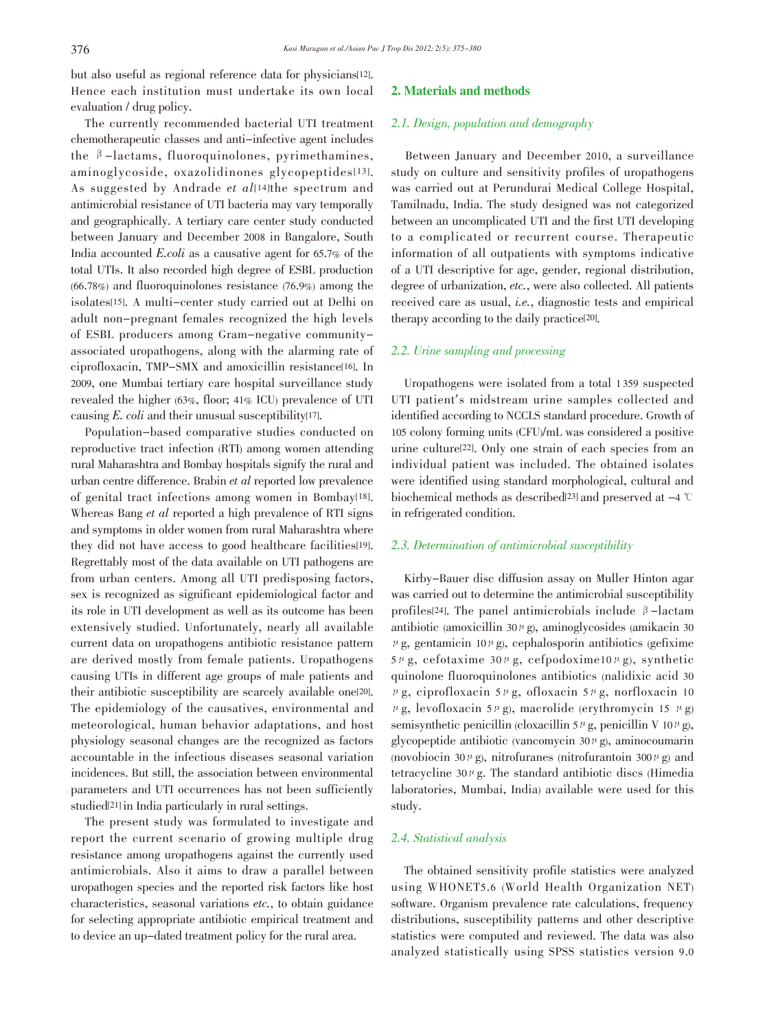but also useful as regional reference data for physicians[12]. Hence each institution must undertake its own local evaluation / drug policy.

The currently recommended bacterial UTI treatment chemotherapeutic classes and anti-infective agent includes the  $\beta$ -lactams, fluoroquinolones, pyrimethamines, aminoglycoside, oxazolidinones glycopeptides[13]. As suggested by Andrade et al[14]the spectrum and antimicrobial resistance of UTI bacteria may vary temporally and geographically. A tertiary care center study conducted between January and December 2008 in Bangalore, South India accounted E.coli as a causative agent for 65.7% of the total UTIs. It also recorded high degree of ESBL production (66.78%) and fluoroquinolones resistance (76.9%) among the isolates[15]. A multi-center study carried out at Delhi on adult non-pregnant females recognized the high levels of ESBL producers among Gram-negative communityassociated uropathogens, along with the alarming rate of ciprofloxacin, TMP-SMX and amoxicillin resistance[16]. In 2009, one Mumbai tertiary care hospital surveillance study revealed the higher (63%, floor; 41% ICU) prevalence of UTI causing  $E.$  coli and their unusual susceptibility<sup>[17]</sup>.

Population-based comparative studies conducted on reproductive tract infection (RTI) among women attending rural Maharashtra and Bombay hospitals signify the rural and urban centre difference. Brabin et al reported low prevalence of genital tract infections among women in Bombay[18]. Whereas Bang et al reported a high prevalence of RTI signs and symptoms in older women from rural Maharashtra where they did not have access to good healthcare facilities[19]. Regrettably most of the data available on UTI pathogens are from urban centers. Among all UTI predisposing factors, sex is recognized as significant epidemiological factor and its role in UTI development as well as its outcome has been extensively studied. Unfortunately, nearly all available current data on uropathogens antibiotic resistance pattern are derived mostly from female patients. Uropathogens causing UTIs in different age groups of male patients and their antibiotic susceptibility are scarcely available one[20]. The epidemiology of the causatives, environmental and meteorological, human behavior adaptations, and host physiology seasonal changes are the recognized as factors accountable in the infectious diseases seasonal variation incidences. But still, the association between environmental parameters and UTI occurrences has not been sufficiently studied[21] in India particularly in rural settings.

The present study was formulated to investigate and report the current scenario of growing multiple drug resistance among uropathogens against the currently used antimicrobials. Also it aims to draw a parallel between uropathogen species and the reported risk factors like host characteristics, seasonal variations etc., to obtain guidance for selecting appropriate antibiotic empirical treatment and to device an up-dated treatment policy for the rural area.

# 2. Materials and methods

#### 2.1. Design, population and demography

Between January and December 2010, a surveillance study on culture and sensitivity profiles of uropathogens was carried out at Perundurai Medical College Hospital, Tamilnadu, India. The study designed was not categorized between an uncomplicated UTI and the first UTI developing to a complicated or recurrent course. Therapeutic information of all outpatients with symptoms indicative of a UTI descriptive for age, gender, regional distribution, degree of urbanization, etc., were also collected. All patients received care as usual, i.e., diagnostic tests and empirical therapy according to the daily practice[20].

## 2.2. Urine sampling and processing

Uropathogens were isolated from a total 1 359 suspected UTI patient's midstream urine samples collected and identified according to NCCLS standard procedure. Growth of 105 colony forming units (CFU)/mL was considered a positive urine culture[22]. Only one strain of each species from an individual patient was included. The obtained isolates were identified using standard morphological, cultural and biochemical methods as described<sup>[23]</sup> and preserved at  $-4$   $\degree$ C in refrigerated condition.

#### 2.3. Determination of antimicrobial susceptibility

Kirby-Bauer disc diffusion assay on Muller Hinton agar was carried out to determine the antimicrobial susceptibility profiles<sup>[24]</sup>. The panel antimicrobials include  $\beta$ -lactam antibiotic (amoxicillin  $30 \mu$ g), aminoglycosides (amikacin 30  $\mu$ g, gentamicin 10 $\mu$ g), cephalosporin antibiotics (gefixime  $5 \mu$ g, cefotaxime  $30 \mu$ g, cefpodoxime10 $\mu$ g), synthetic quinolone fluoroquinolones antibiotics (nalidixic acid 30  $\mu$ g, ciprofloxacin 5 $\mu$ g, ofloxacin 5 $\mu$ g, norfloxacin 10  $\mu$ g, levofloxacin 5 $\mu$ g), macrolide (erythromycin 15  $\mu$ g) semisynthetic penicillin (cloxacillin 5<sup> $\mu$ </sup>g, penicillin V 10 $\mu$ g), glycopeptide antibiotic (vancomycin  $30 \mu$ g), aminocoumarin (novobiocin 30 $\mu$ g), nitrofuranes (nitrofurantoin 300 $\mu$ g) and tetracycline  $30 \mu$ g. The standard antibiotic discs (Himedia laboratories, Mumbai, India) available were used for this study.

#### 2.4. Statistical analysis

The obtained sensitivity profile statistics were analyzed using WHONET5.6 (World Health Organization NET) software. Organism prevalence rate calculations, frequency distributions, susceptibility patterns and other descriptive statistics were computed and reviewed. The data was also analyzed statistically using SPSS statistics version 9.0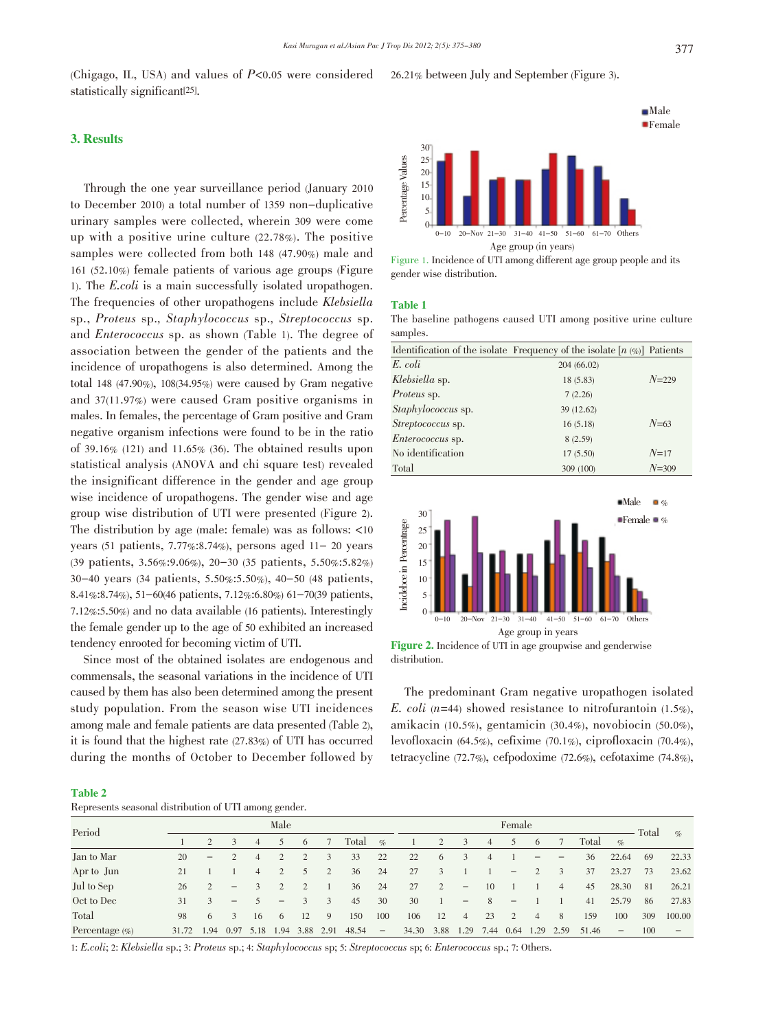(Chigago, IL, USA) and values of  $P<0.05$  were considered statistically significant[25].

#### 26.21% between July and September (Figure 3).

#### 3. Results

Through the one year surveillance period (January 2010 to December 2010) a total number of 1359 non-duplicative urinary samples were collected, wherein 309 were come up with a positive urine culture (22.78%). The positive samples were collected from both 148 (47.90%) male and 161 (52.10%) female patients of various age groups (Figure 1). The E.coli is a main successfully isolated uropathogen. The frequencies of other uropathogens include Klebsiella sp., Proteus sp., Staphylococcus sp., Streptococcus sp. and Enterococcus sp. as shown (Table 1). The degree of association between the gender of the patients and the incidence of uropathogens is also determined. Among the total 148 (47.90%), 108(34.95%) were caused by Gram negative and 37(11.97%) were caused Gram positive organisms in males. In females, the percentage of Gram positive and Gram negative organism infections were found to be in the ratio of 39.16% (121) and 11.65% (36). The obtained results upon statistical analysis (ANOVA and chi square test) revealed the insignificant difference in the gender and age group wise incidence of uropathogens. The gender wise and age group wise distribution of UTI were presented (Figure 2). The distribution by age (male: female) was as follows: <10 years (51 patients, 7.77%:8.74%), persons aged 11- 20 years (39 patients, 3.56%:9.06%), 20-30 (35 patients, 5.50%:5.82%) 30-40 years (34 patients, 5.50%:5.50%), 40-50 (48 patients, 8.41%:8.74%), 51-60(46 patients, 7.12%:6.80%) 61-70(39 patients, 7.12%:5.50%) and no data available (16 patients). Interestingly the female gender up to the age of 50 exhibited an increased tendency enrooted for becoming victim of UTI.

Since most of the obtained isolates are endogenous and commensals, the seasonal variations in the incidence of UTI caused by them has also been determined among the present study population. From the season wise UTI incidences among male and female patients are data presented (Table 2), it is found that the highest rate (27.83%) of UTI has occurred during the months of October to December followed by



Figure 1. Incidence of UTI among different age group people and its gender wise distribution.

#### Table 1

The baseline pathogens caused UTI among positive urine culture samples

|                           | Identification of the isolate Frequency of the isolate $[n \ll 1]$ Patients |           |
|---------------------------|-----------------------------------------------------------------------------|-----------|
| E. coli                   | 204 (66.02)                                                                 |           |
| Klebsiella sp.            | 18 (5.83)                                                                   | $N = 229$ |
| <i>Proteus</i> sp.        | 7(2.26)                                                                     |           |
| <i>Staphylococcus</i> sp. | 39 (12.62)                                                                  |           |
| <i>Streptococcus</i> sp.  | 16(5.18)                                                                    | $N=63$    |
| <i>Enterococcus</i> sp.   | 8(2.59)                                                                     |           |
| No identification         | 17 (5.50)                                                                   | $N=17$    |
| Total                     | 309 (100)                                                                   | $N = 309$ |



Figure 2. Incidence of UTI in age groupwise and genderwise distribution.

The predominant Gram negative uropathogen isolated E. coli (n=44) showed resistance to nitrofurantoin  $(1.5\%),$ amikacin (10.5%), gentamicin (30.4%), novobiocin (50.0%), levofloxacin (64.5%), cefixime (70.1%), ciprofloxacin (70.4%), tetracycline (72.7%), cefpodoxime (72.6%), cefotaxime (74.8%),

#### Table 2

| Represents seasonal distribution of UTI among gender. |  |
|-------------------------------------------------------|--|
|-------------------------------------------------------|--|

|                    |            |                   |                          |                | $\sim$            |      |      |        |                          |            |                |                          |                |                   |       |                |       |                          |     |                          |
|--------------------|------------|-------------------|--------------------------|----------------|-------------------|------|------|--------|--------------------------|------------|----------------|--------------------------|----------------|-------------------|-------|----------------|-------|--------------------------|-----|--------------------------|
| Period             |            | Male              |                          |                |                   |      |      | Female |                          |            |                |                          |                |                   | Total |                |       |                          |     |                          |
|                    |            |                   | $\mathbf{3}$             | $\overline{4}$ | 5                 | 6    |      | Total  | $\%$                     |            | $\overline{2}$ | 3                        | $\overline{4}$ | 5                 | 6     |                | Total | $\%$                     |     | $\%$                     |
| Jan to Mar         | 20         | $\qquad \qquad -$ |                          | 4              |                   |      |      | 33     | 22                       | 22         | 6              |                          |                |                   |       |                | 36    | 22.64                    | 69  | 22.33                    |
| Apr to Jun         | 21         |                   |                          | 4              |                   | 5    | 2    | 36     | 24                       | 27         | 3              |                          |                | $\qquad \qquad -$ |       | 3              | 37    | 23.27                    | 73  | 23.62                    |
| Jul to Sep         | 26         | 2                 | $\overline{\phantom{m}}$ |                |                   |      |      | 36     | 24                       | 27         | $\overline{2}$ | $\overline{\phantom{m}}$ | 10             |                   |       | $\overline{4}$ | 45    | 28.30                    | 81  | 26.21                    |
| Oct to Dec         | 31         | 3                 | $\qquad \qquad -$        |                | $\qquad \qquad -$ |      | 3    | 45     | 30                       | 30         |                | $\qquad \qquad -$        | 8              | $\qquad \qquad -$ |       |                | 41    | 25.79                    | 86  | 27.83                    |
| Total              | 98         | 6                 | 3                        | 16             | 6                 | 12   | -9   | 150    | 100                      | 106        | 12             | $\overline{4}$           | 23             | 2                 | 4     | 8              | 159   | 100                      | 309 | 100.00                   |
| Percentage $(\% )$ | 31.72 1.94 |                   | 0.97                     | 5.18           | 1.94              | 3.88 | 2.91 | 48.54  | $\overline{\phantom{m}}$ | 34.30 3.88 |                | 1.29                     | 7.44 0.64 1.29 |                   |       | 2.59           | 51.46 | $\overline{\phantom{a}}$ | 100 | $\overline{\phantom{m}}$ |

1: E.coli; 2: Klebsiella sp.; 3: Proteus sp.; 4: Staphylococcus sp; 5: Streptococcus sp; 6: Enterococcus sp.; 7: Others.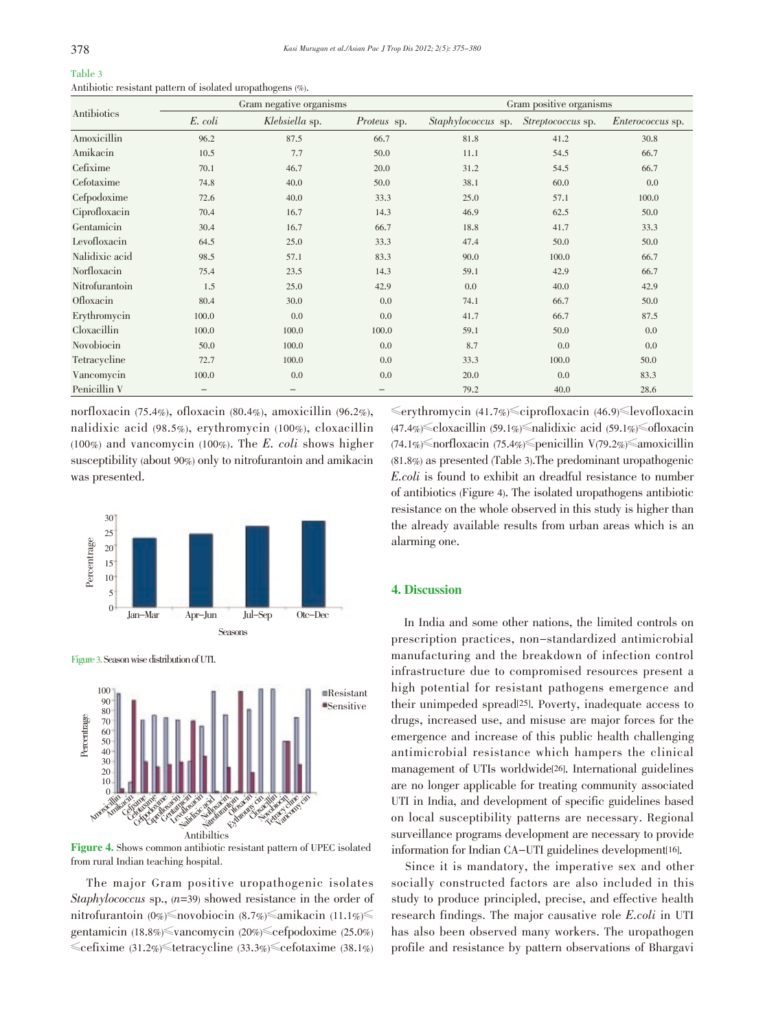| Table 3                                                    |  |  |
|------------------------------------------------------------|--|--|
| Antibiotic resistant pattern of isolated uropathogens (%). |  |  |

|                |                   | Gram negative organisms |                    | Gram positive organisms   |                   |                         |  |  |
|----------------|-------------------|-------------------------|--------------------|---------------------------|-------------------|-------------------------|--|--|
| Antibiotics    | E. coli           | Klebsiella sp.          | <i>Proteus</i> sp. | <i>Staphylococcus</i> sp. | Streptococcus sp. | <i>Enterococcus</i> sp. |  |  |
| Amoxicillin    | 96.2              | 87.5                    | 66.7               | 81.8                      | 41.2              | 30.8                    |  |  |
| Amikacin       | 10.5              | 7.7                     | 50.0               | 11.1                      | 54.5              | 66.7                    |  |  |
| Cefixime       | 70.1              | 46.7                    | 20.0               | 31.2                      | 54.5              | 66.7                    |  |  |
| Cefotaxime     | 74.8              | 40.0                    | 50.0               | 38.1                      | 60.0              | 0.0                     |  |  |
| Cefpodoxime    | 72.6              | 40.0                    | 33.3               | 25.0                      | 57.1              | 100.0                   |  |  |
| Ciprofloxacin  | 70.4              | 16.7                    | 14.3               | 46.9                      | 62.5              | 50.0                    |  |  |
| Gentamicin     | 30.4              | 16.7                    | 66.7               | 18.8                      | 41.7              | 33.3                    |  |  |
| Levofloxacin   | 64.5              | 25.0                    | 33.3               | 47.4                      | 50.0              | 50.0                    |  |  |
| Nalidixic acid | 98.5              | 57.1                    | 83.3               | 90.0                      | 100.0             | 66.7                    |  |  |
| Norfloxacin    | 75.4              | 23.5                    | 14.3               | 59.1                      | 42.9              | 66.7                    |  |  |
| Nitrofurantoin | 1.5               | 25.0                    | 42.9               | 0.0                       | 40.0              | 42.9                    |  |  |
| Ofloxacin      | 80.4              | 30.0                    | 0.0                | 74.1                      | 66.7              | 50.0                    |  |  |
| Erythromycin   | 100.0             | 0.0                     | 0.0                | 41.7                      | 66.7              | 87.5                    |  |  |
| Cloxacillin    | 100.0             | 100.0                   | 100.0              | 59.1                      | 50.0              | 0.0                     |  |  |
| Novobiocin     | 50.0              | 100.0                   | 0.0                | 8.7                       | 0.0               | 0.0                     |  |  |
| Tetracycline   | 72.7              | 100.0                   | 0.0                | 33.3                      | 100.0             | 50.0                    |  |  |
| Vancomycin     | 100.0             | 0.0                     | 0.0                | 20.0                      | 0.0               | 83.3                    |  |  |
| Penicillin V   | $\qquad \qquad -$ | $\qquad \qquad -$       | -                  | 79.2                      | 40.0              | 28.6                    |  |  |

norfloxacin (75.4%), ofloxacin (80.4%), amoxicillin (96.2%), nalidixic acid (98.5%), erythromycin (100%), cloxacillin (100%) and vancomycin (100%). The E. coli shows higher susceptibility (about 90%) only to nitrofurantoin and amikacin was presented.



Figure3.SeasonwisedistributionofUTI.



Figure 4. Shows common antibiotic resistant pattern of UPEC isolated from rural Indian teaching hospital.

The major Gram positive uropathogenic isolates Staphylococcus sp.,  $(n=39)$  showed resistance in the order of nitrofurantoin (0%) snovobiocin (8.7%) samikacin (11.1%) gentamicin (18.8%) svancomycin (20%) scefpodoxime (25.0%) 曑cefixime (31.2%)曑tetracycline (33.3%)曑cefotaxime (38.1%) 曑erythromycin (41.7%)曑ciprofloxacin (46.9)曑levofloxacin  $(47.4\%) \leq \text{cloxacillin}$  (59.1%) salidixic acid (59.1%) sofloxacin (74.1%)曑norfloxacin (75.4%)曑penicillin V(79.2%)曑amoxicillin (81.8%) as presented (Table 3).The predominant uropathogenic E.coli is found to exhibit an dreadful resistance to number of antibiotics (Figure 4). The isolated uropathogens antibiotic resistance on the whole observed in this study is higher than the already available results from urban areas which is an alarming one.

## 4. Discussion

In India and some other nations, the limited controls on prescription practices, non-standardized antimicrobial manufacturing and the breakdown of infection control infrastructure due to compromised resources present a high potential for resistant pathogens emergence and their unimpeded spread[25]. Poverty, inadequate access to drugs, increased use, and misuse are major forces for the emergence and increase of this public health challenging antimicrobial resistance which hampers the clinical management of UTIs worldwide[26]. International guidelines are no longer applicable for treating community associated UTI in India, and development of specific guidelines based on local susceptibility patterns are necessary. Regional surveillance programs development are necessary to provide information for Indian CA-UTI guidelines development[16].

Since it is mandatory, the imperative sex and other socially constructed factors are also included in this study to produce principled, precise, and effective health research findings. The major causative role E.coli in UTI has also been observed many workers. The uropathogen profile and resistance by pattern observations of Bhargavi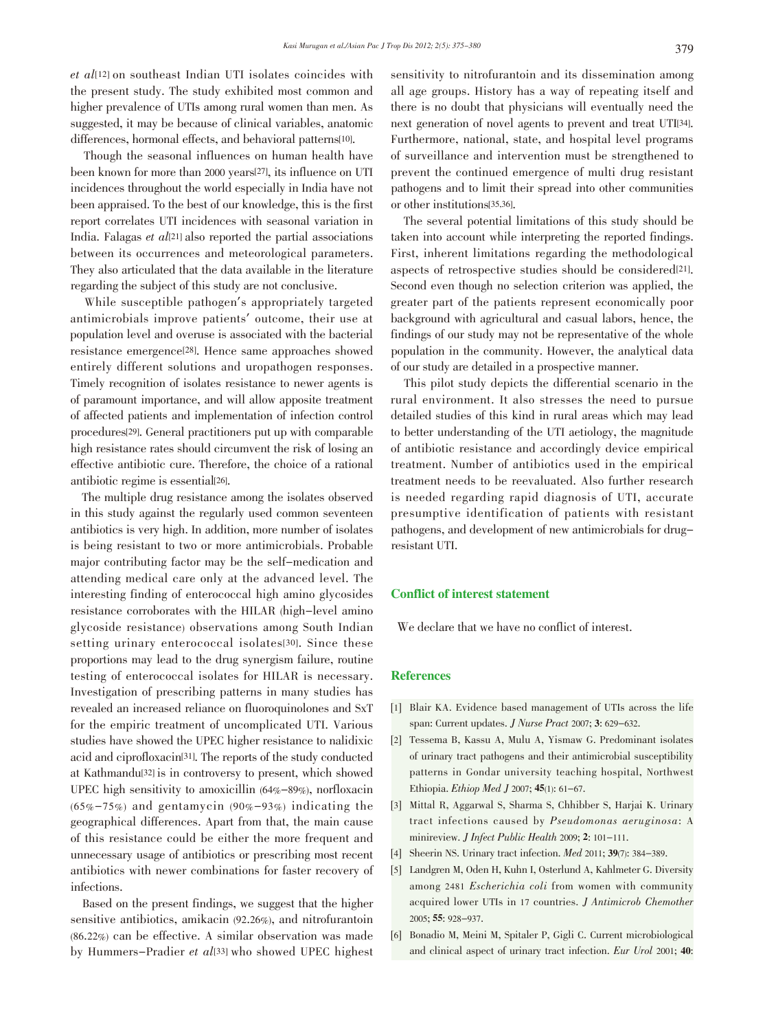$et$   $all$ <sup>[12]</sup> on southeast Indian UTI isolates coincides with the present study. The study exhibited most common and higher prevalence of UTIs among rural women than men. As suggested, it may be because of clinical variables, anatomic differences, hormonal effects, and behavioral patterns[10].

Though the seasonal influences on human health have been known for more than 2000 years[27], its influence on UTI incidences throughout the world especially in India have not been appraised. To the best of our knowledge, this is the first report correlates UTI incidences with seasonal variation in India. Falagas et  $all^{21}$  also reported the partial associations between its occurrences and meteorological parameters. They also articulated that the data available in the literature regarding the subject of this study are not conclusive.

While susceptible pathogen's appropriately targeted antimicrobials improve patients' outcome, their use at population level and overuse is associated with the bacterial resistance emergence[28]. Hence same approaches showed entirely different solutions and uropathogen responses. Timely recognition of isolates resistance to newer agents is of paramount importance, and will allow apposite treatment of affected patients and implementation of infection control procedures[29]. General practitioners put up with comparable high resistance rates should circumvent the risk of losing an effective antibiotic cure. Therefore, the choice of a rational antibiotic regime is essential[26].

The multiple drug resistance among the isolates observed in this study against the regularly used common seventeen antibiotics is very high. In addition, more number of isolates is being resistant to two or more antimicrobials. Probable major contributing factor may be the self-medication and attending medical care only at the advanced level. The interesting finding of enterococcal high amino glycosides resistance corroborates with the HILAR (high-level amino glycoside resistance) observations among South Indian setting urinary enterococcal isolates[30]. Since these proportions may lead to the drug synergism failure, routine testing of enterococcal isolates for HILAR is necessary. Investigation of prescribing patterns in many studies has revealed an increased reliance on fluoroquinolones and SxT for the empiric treatment of uncomplicated UTI. Various studies have showed the UPEC higher resistance to nalidixic acid and ciprofloxacin[31]. The reports of the study conducted at Kathmandu[32] is in controversy to present, which showed UPEC high sensitivity to amoxicillin (64%-89%), norfloxacin  $(65\% - 75\%)$  and gentamycin  $(90\% - 93\%)$  indicating the geographical differences. Apart from that, the main cause of this resistance could be either the more frequent and unnecessary usage of antibiotics or prescribing most recent antibiotics with newer combinations for faster recovery of infections.

Based on the present findings, we suggest that the higher sensitive antibiotics, amikacin (92.26%), and nitrofurantoin (86.22%) can be effective. A similar observation was made by Hummers-Pradier et al<br/>[33] who showed UPEC highest

sensitivity to nitrofurantoin and its dissemination among all age groups. History has a way of repeating itself and there is no doubt that physicians will eventually need the next generation of novel agents to prevent and treat UTI[34]. Furthermore, national, state, and hospital level programs of surveillance and intervention must be strengthened to prevent the continued emergence of multi drug resistant pathogens and to limit their spread into other communities or other institutions[35,36].

The several potential limitations of this study should be taken into account while interpreting the reported findings. First, inherent limitations regarding the methodological aspects of retrospective studies should be considered[21]. Second even though no selection criterion was applied, the greater part of the patients represent economically poor background with agricultural and casual labors, hence, the findings of our study may not be representative of the whole population in the community. However, the analytical data of our study are detailed in a prospective manner.

This pilot study depicts the differential scenario in the rural environment. It also stresses the need to pursue detailed studies of this kind in rural areas which may lead to better understanding of the UTI aetiology, the magnitude of antibiotic resistance and accordingly device empirical treatment. Number of antibiotics used in the empirical treatment needs to be reevaluated. Also further research is needed regarding rapid diagnosis of UTI, accurate presumptive identification of patients with resistant pathogens, and development of new antimicrobials for drugresistant UTI.

### Conflict of interest statement

We declare that we have no conflict of interest.

#### **References**

- [1] Blair KA. Evidence based management of UTIs across the life span: Current updates. J Nurse Pract 2007; 3: 629-632.
- [2] Tessema B, Kassu A, Mulu A, Yismaw G. Predominant isolates of urinary tract pathogens and their antimicrobial susceptibility patterns in Gondar university teaching hospital, Northwest Ethiopia. Ethiop Med J 2007; 45(1): 61-67.
- [3] Mittal R, Aggarwal S, Sharma S, Chhibber S, Harjai K. Urinary tract infections caused by Pseudomonas aeruginosa: A minireview. *J Infect Public Health* 2009; 2: 101-111.
- [4] Sheerin NS. Urinary tract infection. *Med* 2011; **39**(7): 384–389.
- [5] Landgren M, Oden H, Kuhn I, Osterlund A, Kahlmeter G. Diversity among <sup>2481</sup> Escherichia coli from women with community acquired lower UTIs in <sup>17</sup> countries. J Antimicrob Chemother 2005; 55: 928-937.
- [6] Bonadio M, Meini M, Spitaler P, Gigli C. Current microbiological and clinical aspect of urinary tract infection. Eur Urol 2001; 40: